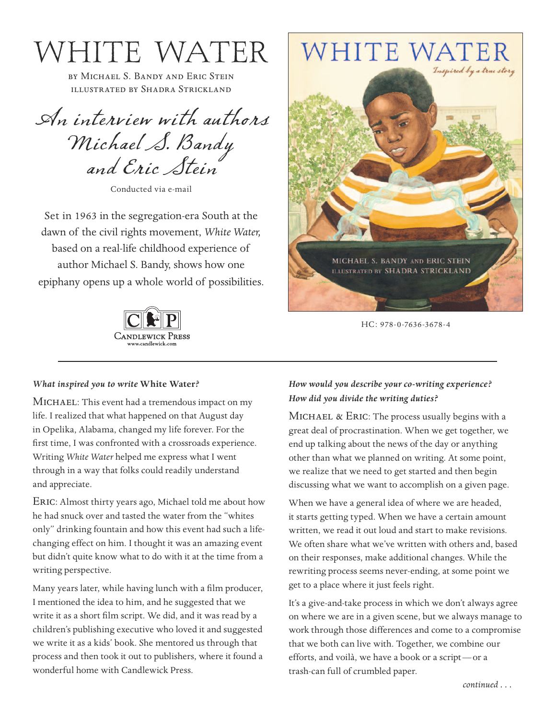W V T TT T T WATER THE WATER THE illustrated by Shadra Strickland

An interview with authors Michael S. Bandy and Eric Stein

Conducted via e-mail

Set in 1963 in the segregation-era South at the dawn of the civil rights movement, *White Water,* based on a real-life childhood experience of author Michael S. Bandy, shows how one epiphany opens up a whole world of possibilities.



# **WHITE WATER**



HC: 978-0-7636-3678-4

## *What inspired you to write* **White Water***?*

MICHAEL: This event had a tremendous impact on my life. I realized that what happened on that August day in Opelika, Alabama, changed my life forever. For the first time, I was confronted with a crossroads experience. Writing *White Water* helped me express what I went through in a way that folks could readily understand and appreciate.

ERIC: Almost thirty years ago, Michael told me about how he had snuck over and tasted the water from the "whites only" drinking fountain and how this event had such a lifechanging effect on him. I thought it was an amazing event but didn't quite know what to do with it at the time from a writing perspective.

Many years later, while having lunch with a film producer, I mentioned the idea to him, and he suggested that we write it as a short film script. We did, and it was read by a children's publishing executive who loved it and suggested we write it as a kids' book. She mentored us through that process and then took it out to publishers, where it found a wonderful home with Candlewick Press.

# *How would you describe your co-writing experience? How did you divide the writing duties?*

MICHAEL & ERIC: The process usually begins with a great deal of procrastination. When we get together, we end up talking about the news of the day or anything other than what we planned on writing. At some point, we realize that we need to get started and then begin discussing what we want to accomplish on a given page.

When we have a general idea of where we are headed, it starts getting typed. When we have a certain amount written, we read it out loud and start to make revisions. We often share what we've written with others and, based on their responses, make additional changes. While the rewriting process seems never-ending, at some point we get to a place where it just feels right.

It's a give-and-take process in which we don't always agree on where we are in a given scene, but we always manage to work through those differences and come to a compromise that we both can live with. Together, we combine our efforts, and voilà, we have a book or a script—or a trash-can full of crumbled paper.